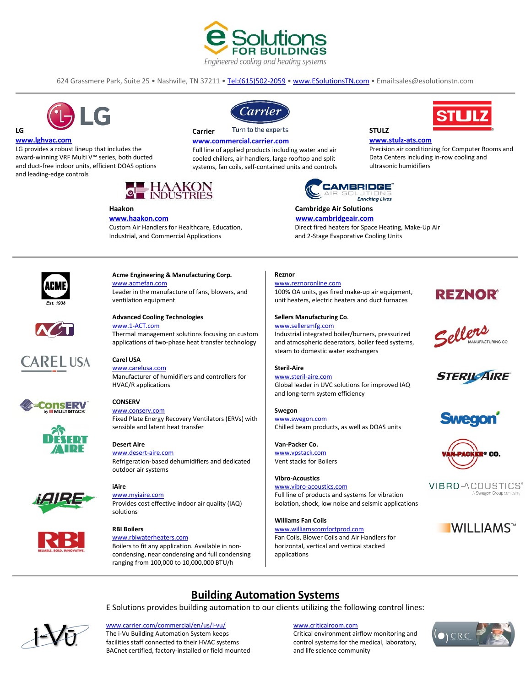

624 Grassmere Park, Suite 25 • Nashville, TN 37211 • [Tel:\(615\)502-2059](tel:(615)502-2059) • [www.ESolutionsTN.com](http://www.esolutionstn.com/) • Email:sales@esolutionstn.com



#### **www.lghvac.com**

**LG**

LG provides a robust lineup that includes the award-winning VRF Multi V™ series, both ducted and duct-free indoor units, efficient DOAS options and leading-edge controls



# **Haakon**

**[www.haakon.com](http://www.haakon.com/)** Custom Air Handlers for Healthcare, Education, Industrial, and Commercial Applications



Turn to the experts **Carrier**

#### **[www.commercial.carrier.com](http://www.commercial.carrier.com/)**

Full line of applied products including water and air cooled chillers, air handlers, large rooftop and split systems, fan coils, self-contained units and controls



 **Cambridge Air Solutions**

#### **[www.cambridgeair.com](http://www.cambridgeair.com/)**

 Direct fired heaters for Space Heating, Make-Up Air and 2-Stage Evaporative Cooling Units

**STULZ**

**[www.stulz-ats.com](http://www.stulz-ats.com/)**

ultrasonic humidifiers

Precision air conditioning for Computer Rooms and Data Centers including in-row cooling and

STLJLZ



#### **Acme Engineering & Manufacturing Corp.** [www.acmefan.com](http://www.acmefan.com/) Leader in the manufacture of fans, blowers, and

ventilation equipment



#### **Advanced Cooling Technologies** www.1-ACT.com

Thermal management solutions focusing on custom applications of two-phase heat transfer technology



#### **Carel USA** [www.carelusa.com](http://www.carelusa.com/)

**CONSERV** [www.conserv.com](http://www.conserv.com/)

**Desert Aire**

Manufacturer of humidifiers and controllers for HVAC/R applications

Fixed Plate Energy Recovery Ventilators (ERVs) with



[www.desert-aire.com](http://www.desert-aire.com/) Refrigeration-based dehumidifiers and dedicated

outdoor air systems

sensible and latent heat transfer







#### **RBI Boilers**

[www.rbiwaterheaters.com](http://www.rbiwaterheaters.com/) Boilers to fit any application. Available in noncondensing, near condensing and full condensing ranging from 100,000 to 10,000,000 BTU/h

### **Reznor**

[www.reznoronline.com](http://www.reznoronline.com/) 100% OA units, gas fired make-up air equipment, unit heaters, electric heaters and duct furnaces

#### **Sellers Manufacturing Co**.

[www.sellersmfg.com](file://192.168.25.251/Business/Marketing/Line%20Cards/www.sellersmfg.com) Industrial integrated boiler/burners, pressurized and atmospheric deaerators, boiler feed systems, steam to domestic water exchangers

## **Steril-Aire**

[www.steril-aire.com](http://www.steril-aire.com/) Global leader in UVC solutions for improved IAQ and long-term system efficiency

**Swegon** [www.swegon.com](http://www.swegon.com/) Chilled beam products, as well as DOAS units

**Van-Packer Co.** [www.vpstack.com](file://192.168.25.251/Business/Marketing/Line%20Cards/www.vpstack.com) Vent stacks for Boilers

**Vibro-Acoustics** [www.vibro-acoustics.com](http://www.vibro-acoustics.com/) Full line of products and systems for vibration isolation, shock, low noise and seismic applications

**Williams Fan Coils** [www.williamscomfortprod.com](http://www.williamscomfortprod.com/) Fan Coils, Blower Coils and Air Handlers for horizontal, vertical and vertical stacked applications











VIBRO-ACOUSTICS® A Swegon Group co





E Solutions provides building automation to our clients utilizing the following control lines:



[www.carrier.com/commercial/en/us/i-vu/](file://192.168.25.251/Business/Marketing/Line%20Cards/www.carrier.com/commercial/en/us/i-vu/) [www.criticalroom.com](http://www.criticalroom.com/)

The i-Vu Building Automation System keeps Critical environment airflow monitoring and facilities staff connected to their HVAC systems control systems for the medical, laboratory, BACnet certified, factory-installed or field mounted and life science community